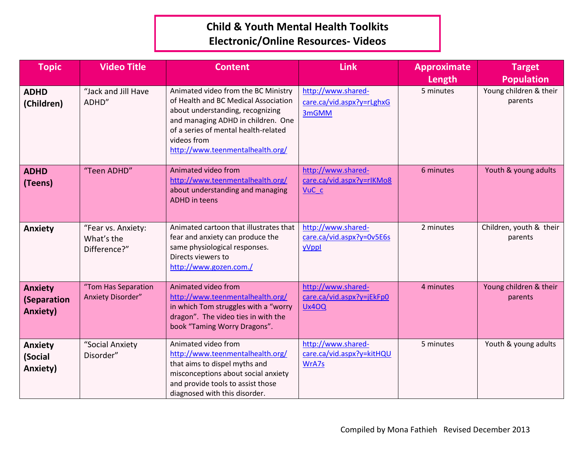## **Child & Youth Mental Health Toolkits Electronic/Online Resources- Videos**

| <b>Topic</b>                                     | <b>Video Title</b>                               | <b>Content</b>                                                                                                                                                                                                                                   | <b>Link</b>                                                         | <b>Approximate</b><br>Length | <b>Target</b><br><b>Population</b> |
|--------------------------------------------------|--------------------------------------------------|--------------------------------------------------------------------------------------------------------------------------------------------------------------------------------------------------------------------------------------------------|---------------------------------------------------------------------|------------------------------|------------------------------------|
| <b>ADHD</b><br>(Children)                        | "Jack and Jill Have<br>ADHD"                     | Animated video from the BC Ministry<br>of Health and BC Medical Association<br>about understanding, recognizing<br>and managing ADHD in children. One<br>of a series of mental health-related<br>videos from<br>http://www.teenmentalhealth.org/ | http://www.shared-<br>care.ca/vid.aspx?y=rLghxG<br>3mGMM            | 5 minutes                    | Young children & their<br>parents  |
| <b>ADHD</b><br>(Teens)                           | "Teen ADHD"                                      | Animated video from<br>http://www.teenmentalhealth.org/<br>about understanding and managing<br><b>ADHD</b> in teens                                                                                                                              | http://www.shared-<br>care.ca/vid.aspx?y=rlKMo8<br>VuC <sub>c</sub> | 6 minutes                    | Youth & young adults               |
| <b>Anxiety</b>                                   | "Fear vs. Anxiety:<br>What's the<br>Difference?" | Animated cartoon that illustrates that<br>fear and anxiety can produce the<br>same physiological responses.<br>Directs viewers to<br>http://www.gozen.com./                                                                                      | http://www.shared-<br>care.ca/vid.aspx?y=0v5E6s<br>yVppl            | 2 minutes                    | Children, youth & their<br>parents |
| <b>Anxiety</b><br>(Separation<br><b>Anxiety)</b> | "Tom Has Separation<br>Anxiety Disorder"         | Animated video from<br>http://www.teenmentalhealth.org/<br>in which Tom struggles with a "worry<br>dragon". The video ties in with the<br>book "Taming Worry Dragons".                                                                           | http://www.shared-<br>care.ca/vid.aspx?y=jEkFp0<br><b>Ux40Q</b>     | 4 minutes                    | Young children & their<br>parents  |
| Anxiety<br>(Social<br>Anxiety)                   | "Social Anxiety<br>Disorder"                     | Animated video from<br>http://www.teenmentalhealth.org/<br>that aims to dispel myths and<br>misconceptions about social anxiety<br>and provide tools to assist those<br>diagnosed with this disorder.                                            | http://www.shared-<br>care.ca/vid.aspx?y=kitHQU<br>WrA7s            | 5 minutes                    | Youth & young adults               |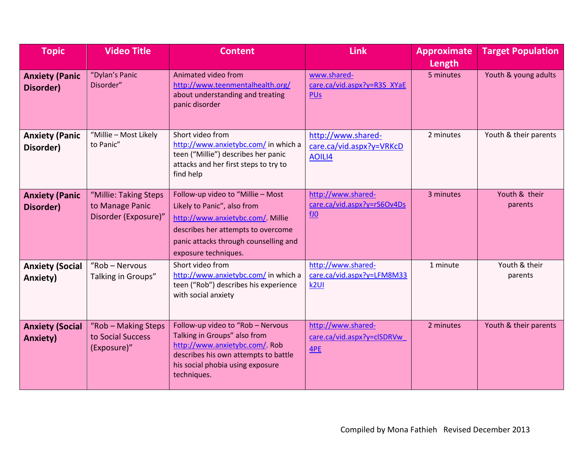| <b>Topic</b>                              | <b>Video Title</b>                                               | <b>Content</b>                                                                                                                                                                                              | <b>Link</b>                                                          | <b>Approximate</b><br>Length | <b>Target Population</b> |
|-------------------------------------------|------------------------------------------------------------------|-------------------------------------------------------------------------------------------------------------------------------------------------------------------------------------------------------------|----------------------------------------------------------------------|------------------------------|--------------------------|
| <b>Anxiety (Panic</b><br>Disorder)        | "Dylan's Panic<br>Disorder"                                      | Animated video from<br>http://www.teenmentalhealth.org/<br>about understanding and treating<br>panic disorder                                                                                               | www.shared-<br>care.ca/vid.aspx?y=R3S XYaE<br><b>PUs</b>             | 5 minutes                    | Youth & young adults     |
| <b>Anxiety (Panic</b><br>Disorder)        | "Millie - Most Likely<br>to Panic"                               | Short video from<br>http://www.anxietybc.com/ in which a<br>teen ("Millie") describes her panic<br>attacks and her first steps to try to<br>find help                                                       | http://www.shared-<br>care.ca/vid.aspx?y=VRKcD<br>AOILI4             | 2 minutes                    | Youth & their parents    |
| <b>Anxiety (Panic</b><br>Disorder)        | "Millie: Taking Steps<br>to Manage Panic<br>Disorder (Exposure)" | Follow-up video to "Millie - Most<br>Likely to Panic", also from<br>http://www.anxietybc.com/ Millie<br>describes her attempts to overcome<br>panic attacks through counselling and<br>exposure techniques. | http://www.shared-<br>care.ca/vid.aspx?y=rS6Ov4Ds<br>$f_{\text{J0}}$ | 3 minutes                    | Youth & their<br>parents |
| <b>Anxiety (Social</b><br>Anxiety)        | "Rob - Nervous<br>Talking in Groups"                             | Short video from<br>http://www.anxietybc.com/ in which a<br>teen ("Rob") describes his experience<br>with social anxiety                                                                                    | http://www.shared-<br>care.ca/vid.aspx?y=LFM8M33<br>k <sub>2UI</sub> | 1 minute                     | Youth & their<br>parents |
| <b>Anxiety (Social</b><br><b>Anxiety)</b> | "Rob - Making Steps<br>to Social Success<br>(Exposure)"          | Follow-up video to "Rob - Nervous<br>Talking in Groups" also from<br>http://www.anxietybc.com/ Rob<br>describes his own attempts to battle<br>his social phobia using exposure<br>techniques.               | http://www.shared-<br>care.ca/vid.aspx?y=clSDRVw<br>4PE              | 2 minutes                    | Youth & their parents    |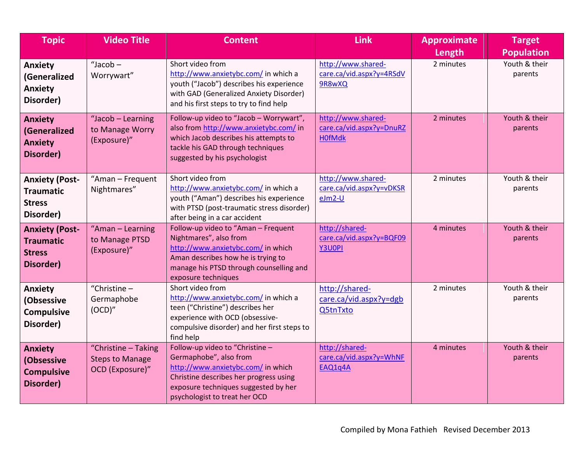| <b>Topic</b>                                                            | <b>Video Title</b>                                               | <b>Content</b>                                                                                                                                                                                                     | <b>Link</b>                                                     | <b>Approximate</b>  | <b>Target</b><br><b>Population</b> |
|-------------------------------------------------------------------------|------------------------------------------------------------------|--------------------------------------------------------------------------------------------------------------------------------------------------------------------------------------------------------------------|-----------------------------------------------------------------|---------------------|------------------------------------|
| <b>Anxiety</b><br>(Generalized<br><b>Anxiety</b><br>Disorder)           | "Jacob-<br>Worrywart"                                            | Short video from<br>http://www.anxietybc.com/ in which a<br>youth ("Jacob") describes his experience<br>with GAD (Generalized Anxiety Disorder)<br>and his first steps to try to find help                         | http://www.shared-<br>care.ca/vid.aspx?y=4RSdV<br>9R8wXQ        | Length<br>2 minutes | Youth & their<br>parents           |
| <b>Anxiety</b><br>(Generalized<br><b>Anxiety</b><br>Disorder)           | "Jacob - Learning<br>to Manage Worry<br>(Exposure)"              | Follow-up video to "Jacob - Worrywart",<br>also from http://www.anxietybc.com/ in<br>which Jacob describes his attempts to<br>tackle his GAD through techniques<br>suggested by his psychologist                   | http://www.shared-<br>care.ca/vid.aspx?y=DnuRZ<br><b>H0fMdk</b> | 2 minutes           | Youth & their<br>parents           |
| <b>Anxiety (Post-</b><br><b>Traumatic</b><br><b>Stress</b><br>Disorder) | "Aman - Frequent<br>Nightmares"                                  | Short video from<br>http://www.anxietybc.com/ in which a<br>youth ("Aman") describes his experience<br>with PTSD (post-traumatic stress disorder)<br>after being in a car accident                                 | http://www.shared-<br>care.ca/vid.aspx?y=vDKSR<br>$eJm2-U$      | 2 minutes           | Youth & their<br>parents           |
| <b>Anxiety (Post-</b><br><b>Traumatic</b><br><b>Stress</b><br>Disorder) | "Aman - Learning<br>to Manage PTSD<br>(Exposure)"                | Follow-up video to "Aman - Frequent<br>Nightmares", also from<br>http://www.anxietybc.com/ in which<br>Aman describes how he is trying to<br>manage his PTSD through counselling and<br>exposure techniques        | http://shared-<br>care.ca/vid.aspx?y=BQF09<br>Y3U0PI            | 4 minutes           | Youth & their<br>parents           |
| <b>Anxiety</b><br>(Obsessive<br><b>Compulsive</b><br>Disorder)          | "Christine $-$<br>Germaphobe<br>(OCD)''                          | Short video from<br>http://www.anxietybc.com/ in which a<br>teen ("Christine") describes her<br>experience with OCD (obsessive-<br>compulsive disorder) and her first steps to<br>find help                        | http://shared-<br>care.ca/vid.aspx?y=dgb<br>Q5tnTxto            | 2 minutes           | Youth & their<br>parents           |
| <b>Anxiety</b><br>(Obsessive<br><b>Compulsive</b><br>Disorder)          | "Christine - Taking<br><b>Steps to Manage</b><br>OCD (Exposure)" | Follow-up video to "Christine -<br>Germaphobe", also from<br>http://www.anxietybc.com/ in which<br>Christine describes her progress using<br>exposure techniques suggested by her<br>psychologist to treat her OCD | http://shared-<br>care.ca/vid.aspx?y=WhNF<br>EAQ1q4A            | 4 minutes           | Youth & their<br>parents           |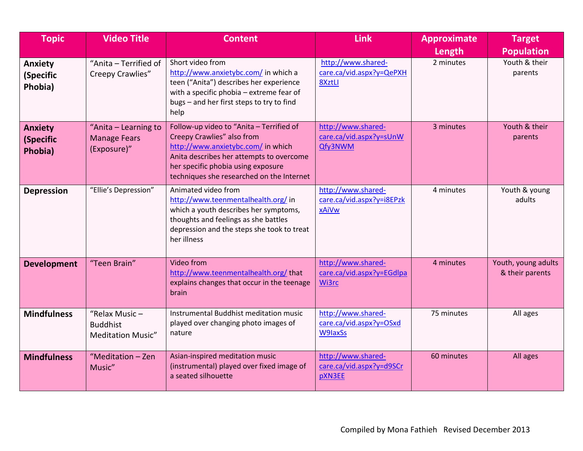| <b>Topic</b>                           | <b>Video Title</b>                                              | <b>Content</b>                                                                                                                                                                                                                              | <b>Link</b>                                                     | <b>Approximate</b><br>Length | <b>Target</b><br><b>Population</b>     |
|----------------------------------------|-----------------------------------------------------------------|---------------------------------------------------------------------------------------------------------------------------------------------------------------------------------------------------------------------------------------------|-----------------------------------------------------------------|------------------------------|----------------------------------------|
| Anxiety<br>(Specific<br>Phobia)        | "Anita - Terrified of<br>Creepy Crawlies"                       | Short video from<br>http://www.anxietybc.com/ in which a<br>teen ("Anita") describes her experience<br>with a specific phobia - extreme fear of<br>bugs - and her first steps to try to find<br>help                                        | http://www.shared-<br>care.ca/vid.aspx?y=QePXH<br>8XztLI        | 2 minutes                    | Youth & their<br>parents               |
| <b>Anxiety</b><br>(Specific<br>Phobia) | "Anita – Learning to<br><b>Manage Fears</b><br>(Exposure)"      | Follow-up video to "Anita - Terrified of<br>Creepy Crawlies" also from<br>http://www.anxietybc.com/ in which<br>Anita describes her attempts to overcome<br>her specific phobia using exposure<br>techniques she researched on the Internet | http://www.shared-<br>care.ca/vid.aspx?y=sUnW<br>Qfy3NWM        | 3 minutes                    | Youth & their<br>parents               |
| <b>Depression</b>                      | "Ellie's Depression"                                            | Animated video from<br>http://www.teenmentalhealth.org/ in<br>which a youth describes her symptoms,<br>thoughts and feelings as she battles<br>depression and the steps she took to treat<br>her illness                                    | http://www.shared-<br>care.ca/vid.aspx?y=i8EPzk<br>xAiVw        | 4 minutes                    | Youth & young<br>adults                |
| <b>Development</b>                     | "Teen Brain"                                                    | Video from<br>http://www.teenmentalhealth.org/that<br>explains changes that occur in the teenage<br>brain                                                                                                                                   | http://www.shared-<br>care.ca/vid.aspx?y=EGdlpa<br>Wi3rc        | 4 minutes                    | Youth, young adults<br>& their parents |
| <b>Mindfulness</b>                     | "Relax Music $-$<br><b>Buddhist</b><br><b>Meditation Music"</b> | Instrumental Buddhist meditation music<br>played over changing photo images of<br>nature                                                                                                                                                    | http://www.shared-<br>care.ca/vid.aspx?y=OSxd<br><b>W9laxSs</b> | 75 minutes                   | All ages                               |
| <b>Mindfulness</b>                     | "Meditation - Zen<br>Music"                                     | Asian-inspired meditation music<br>(instrumental) played over fixed image of<br>a seated silhouette                                                                                                                                         | http://www.shared-<br>care.ca/vid.aspx?y=d9SCr<br>pXN3EE        | 60 minutes                   | All ages                               |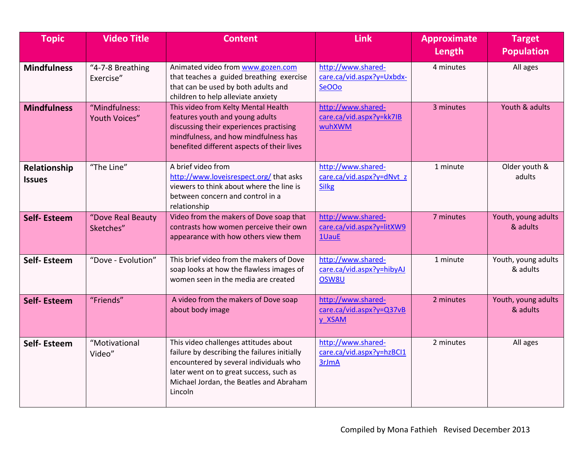| <b>Topic</b>                  | <b>Video Title</b>             | <b>Content</b>                                                                                                                                                                                                                   | <b>Link</b>                                                     | <b>Approximate</b><br>Length | <b>Target</b><br><b>Population</b> |
|-------------------------------|--------------------------------|----------------------------------------------------------------------------------------------------------------------------------------------------------------------------------------------------------------------------------|-----------------------------------------------------------------|------------------------------|------------------------------------|
| <b>Mindfulness</b>            | "4-7-8 Breathing<br>Exercise"  | Animated video from www.gozen.com<br>that teaches a guided breathing exercise<br>that can be used by both adults and<br>children to help alleviate anxiety                                                                       | http://www.shared-<br>care.ca/vid.aspx?y=Uxbdx-<br>SeOOo        | 4 minutes                    | All ages                           |
| <b>Mindfulness</b>            | "Mindfulness:<br>Youth Voices" | This video from Kelty Mental Health<br>features youth and young adults<br>discussing their experiences practising<br>mindfulness, and how mindfulness has<br>benefited different aspects of their lives                          | http://www.shared-<br>care.ca/vid.aspx?y=kk7IB<br>wuhXWM        | 3 minutes                    | Youth & adults                     |
| Relationship<br><b>Issues</b> | "The Line"                     | A brief video from<br>http://www.loveisrespect.org/ that asks<br>viewers to think about where the line is<br>between concern and control in a<br>relationship                                                                    | http://www.shared-<br>care.ca/vid.aspx?y=dNvt z<br><b>Silkg</b> | 1 minute                     | Older youth &<br>adults            |
| <b>Self-Esteem</b>            | "Dove Real Beauty<br>Sketches" | Video from the makers of Dove soap that<br>contrasts how women perceive their own<br>appearance with how others view them                                                                                                        | http://www.shared-<br>care.ca/vid.aspx?y=litXW9<br>1UauE        | 7 minutes                    | Youth, young adults<br>& adults    |
| <b>Self-Esteem</b>            | "Dove - Evolution"             | This brief video from the makers of Dove<br>soap looks at how the flawless images of<br>women seen in the media are created                                                                                                      | http://www.shared-<br>care.ca/vid.aspx?y=hibyAJ<br>OSW8U        | 1 minute                     | Youth, young adults<br>& adults    |
| <b>Self-Esteem</b>            | "Friends"                      | A video from the makers of Dove soap<br>about body image                                                                                                                                                                         | http://www.shared-<br>care.ca/vid.aspx?y=Q37vB<br>y XSAM        | 2 minutes                    | Youth, young adults<br>& adults    |
| Self-Esteem                   | "Motivational<br>Video"        | This video challenges attitudes about<br>failure by describing the failures initially<br>encountered by several individuals who<br>later went on to great success, such as<br>Michael Jordan, the Beatles and Abraham<br>Lincoln | http://www.shared-<br>care.ca/vid.aspx?y=hzBCI1<br>3rJmA        | 2 minutes                    | All ages                           |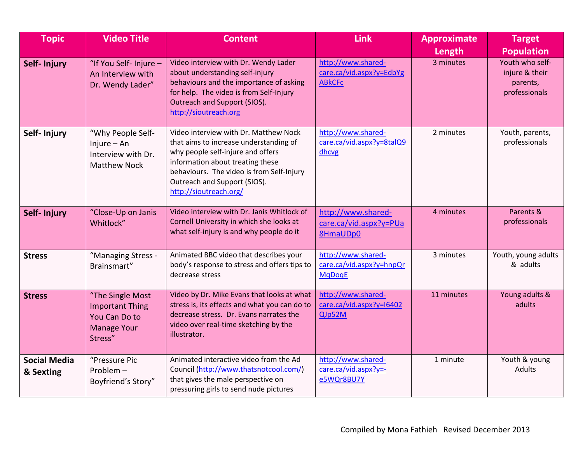| <b>Topic</b>                     | <b>Video Title</b>                                                                           | <b>Content</b>                                                                                                                                                                                                                                                  | <b>Link</b>                                                     | <b>Approximate</b><br>Length | <b>Target</b><br><b>Population</b>                             |
|----------------------------------|----------------------------------------------------------------------------------------------|-----------------------------------------------------------------------------------------------------------------------------------------------------------------------------------------------------------------------------------------------------------------|-----------------------------------------------------------------|------------------------------|----------------------------------------------------------------|
| Self- Injury                     | "If You Self- Injure -<br>An Interview with<br>Dr. Wendy Lader"                              | Video interview with Dr. Wendy Lader<br>about understanding self-injury<br>behaviours and the importance of asking<br>for help. The video is from Self-Injury<br>Outreach and Support (SIOS).<br>http://sioutreach.org                                          | http://www.shared-<br>care.ca/vid.aspx?y=EdbYg<br><b>ABkCFc</b> | 3 minutes                    | Youth who self-<br>injure & their<br>parents,<br>professionals |
| Self- Injury                     | "Why People Self-<br>$Injure - An$<br>Interview with Dr.<br><b>Matthew Nock</b>              | Video interview with Dr. Matthew Nock<br>that aims to increase understanding of<br>why people self-injure and offers<br>information about treating these<br>behaviours. The video is from Self-Injury<br>Outreach and Support (SIOS).<br>http://sioutreach.org/ | http://www.shared-<br>care.ca/vid.aspx?y=8talQ9<br>dhcvg        | 2 minutes                    | Youth, parents,<br>professionals                               |
| Self- Injury                     | "Close-Up on Janis<br>Whitlock"                                                              | Video interview with Dr. Janis Whitlock of<br>Cornell University in which she looks at<br>what self-injury is and why people do it                                                                                                                              | http://www.shared-<br>care.ca/vid.aspx?y=PUa<br>8HmaUDp0        | 4 minutes                    | Parents &<br>professionals                                     |
| <b>Stress</b>                    | "Managing Stress -<br>Brainsmart"                                                            | Animated BBC video that describes your<br>body's response to stress and offers tips to<br>decrease stress                                                                                                                                                       | http://www.shared-<br>care.ca/vid.aspx?y=hnpQr<br><b>MqDoqE</b> | 3 minutes                    | Youth, young adults<br>& adults                                |
| <b>Stress</b>                    | "The Single Most<br><b>Important Thing</b><br>You Can Do to<br><b>Manage Your</b><br>Stress" | Video by Dr. Mike Evans that looks at what<br>stress is, its effects and what you can do to<br>decrease stress. Dr. Evans narrates the<br>video over real-time sketching by the<br>illustrator.                                                                 | http://www.shared-<br>care.ca/vid.aspx?y=16402<br>QJp52M        | 11 minutes                   | Young adults &<br>adults                                       |
| <b>Social Media</b><br>& Sexting | "Pressure Pic<br>Problem-<br>Boyfriend's Story"                                              | Animated interactive video from the Ad<br>Council (http://www.thatsnotcool.com/)<br>that gives the male perspective on<br>pressuring girls to send nude pictures                                                                                                | http://www.shared-<br>care.ca/vid.aspx?y=-<br>e5WQr8BU7Y        | 1 minute                     | Youth & young<br>Adults                                        |